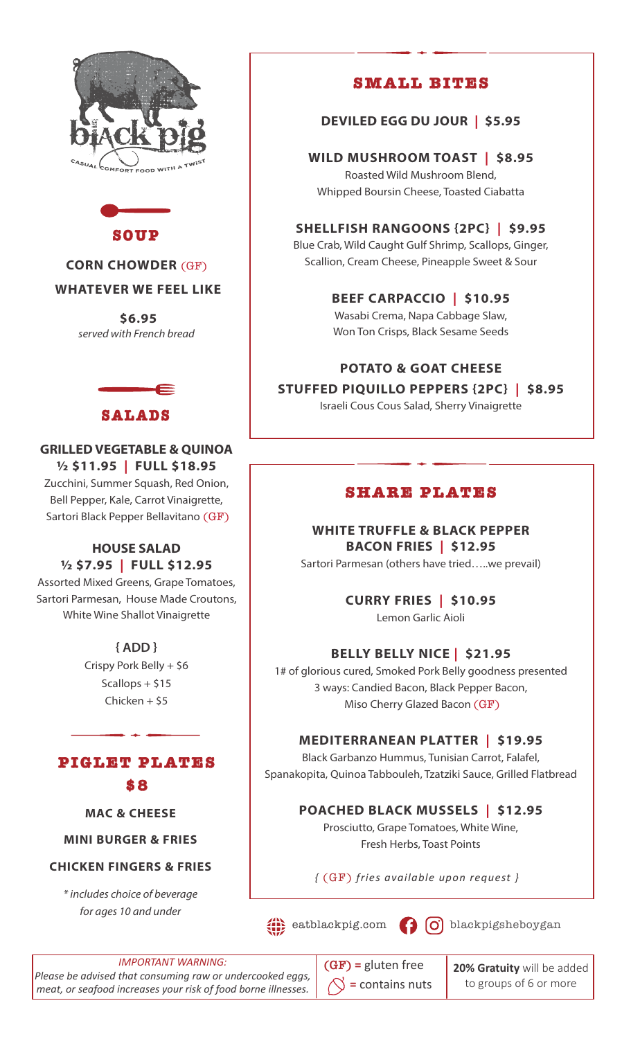



### **CORN CHOWDER** (GF)

### **WHATEVER WE FEEL LIKE**

 **\$6.95** *served with French bread*



# **GRILLED VEGETABLE & QUINOA ½ \$11.95 | FULL \$18.95** Zucchini, Summer Squash, Red Onion, Bell Pepper, Kale, Carrot Vinaigrette,

Sartori Black Pepper Bellavitano (GF)

### **HOUSE SALAD ½ \$7.95 | FULL \$12.95**

Assorted Mixed Greens, Grape Tomatoes, Sartori Parmesan, House Made Croutons, White Wine Shallot Vinaigrette

> **{ ADD }**  Crispy Pork Belly + \$6 Scallops + \$15 Chicken + \$5



**MAC & CHEESE** 

**MINI BURGER & FRIES** 

#### **CHICKEN FINGERS & FRIES**

*\* includes choice of beverage for ages 10 and under*

# **SMALL BITES**

**DEVILED EGG DU JOUR | \$5.95**

#### **WILD MUSHROOM TOAST | \$8.95**

Roasted Wild Mushroom Blend, Whipped Boursin Cheese, Toasted Ciabatta

# **SHELLFISH RANGOONS {2PC} | \$9.95**

Blue Crab, Wild Caught Gulf Shrimp, Scallops, Ginger, Scallion, Cream Cheese, Pineapple Sweet & Sour

> **BEEF CARPACCIO | \$10.95** Wasabi Crema, Napa Cabbage Slaw,

> Won Ton Crisps, Black Sesame Seeds

### **POTATO & GOAT CHEESE**

# **STUFFED PIQUILLO PEPPERS {2PC} | \$8.95**

Israeli Cous Cous Salad, Sherry Vinaigrette

# **SHARE PLATES**

**WHITE TRUFFLE & BLACK PEPPER BACON FRIES | \$12.95** Sartori Parmesan (others have tried…..we prevail)

**CURRY FRIES | \$10.95**

Lemon Garlic Aioli

# **BELLY BELLY NICE | \$21.95**

1# of glorious cured, Smoked Pork Belly goodness presented 3 ways: Candied Bacon, Black Pepper Bacon, Miso Cherry Glazed Bacon (GF)

### **MEDITERRANEAN PLATTER | \$19.95**

Black Garbanzo Hummus, Tunisian Carrot, Falafel, Spanakopita, Quinoa Tabbouleh, Tzatziki Sauce, Grilled Flatbread

# **POACHED BLACK MUSSELS | \$12.95**

Prosciutto, Grape Tomatoes, White Wine, Fresh Herbs, Toast Points

*{* (GF) *fries available upon request }* 

 $\left( \begin{array}{ccc} 0 \end{array} \right)$  eatblackpig.com  $\left( \begin{array}{ccc} 0 \end{array} \right)$  blackpigsheboygan

*IMPORTANT WARNING: Please be advised that consuming raw or undercooked eggs, meat, or seafood increases your risk of food borne illnesses.*